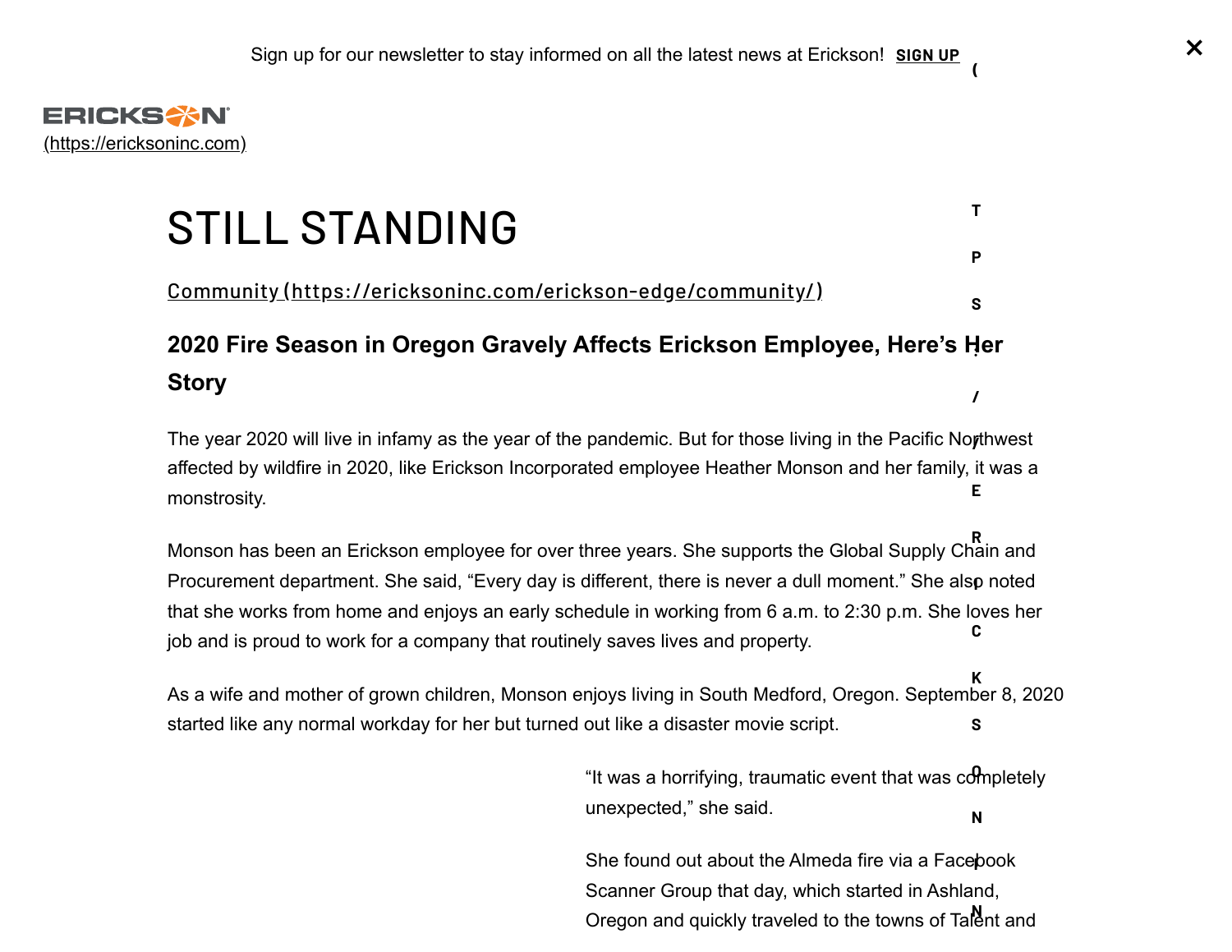<span id="page-0-0"></span>

# STILL STANDING

Community [\(https://ericksoninc.com/erickson-edge/community/\)](https://ericksoninc.com/erickson-edge/community/)

## **2020 Fire Season in Oregon Gravely Affects Erickson Employee, [Here's He](https://ericksoninc.com/stay-informed/)r : Story /**

The year 2020 will live in infamy as the year of the pandemic. But for those living in the Pacific No**r**thwest affected by wildfire in 2020, like Erickson Incorporated employee Heather Monson and her family, it was a monstrosity. **E**

Monson has been an Erickson employee for over three years. She supports the Global Supply Chain and Procurement department. She said, "Every day is different, there is never a dull moment." She als**p** noted that she works from home and enjoys an early schedule in working from 6 a.m. to 2:30 p.m. She loves her job and is proud to work for a company that routinely saves lives and property. **R C**

As a wife and mother of grown children, Monson enjoys living in South Medford, Oregon. September 8, 2020 started like any normal workday for her but turned out like a disaster movie script. **K S**

> "It was a horrifying, traumatic event that was completely **O** unexpected," she said. **N**

She found out about the Almeda fire via a Facebook **I** Scanner Group that day, which started in Ashland, Oregon and quickly traveled to the towns of Talent and

**(**

**T**

**P**

**S**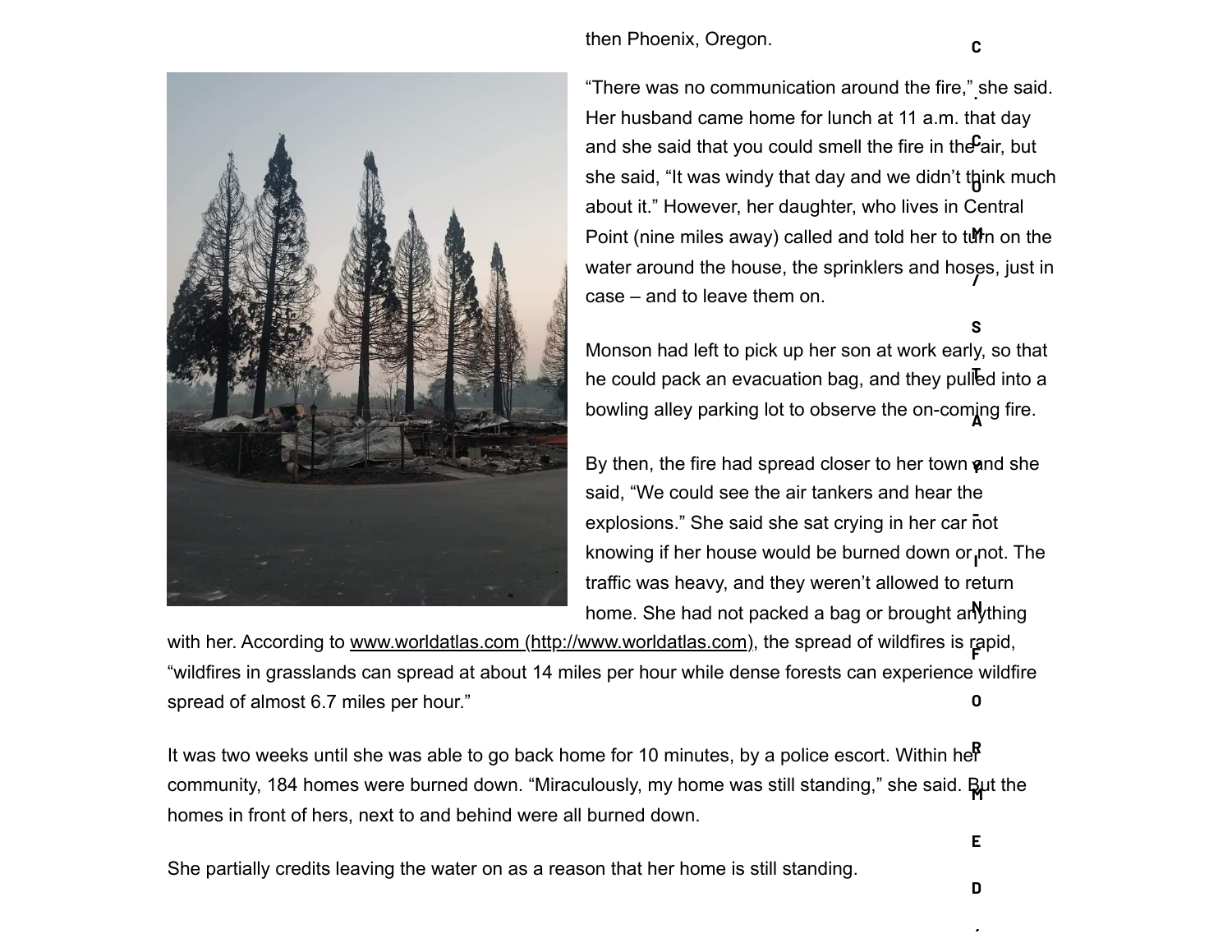

then Phoenix, Oregon.

"There was no communication around the fire," she said. **.** Her husband came home for lunch at 11 a.m. that day and she said that you could smell the fire in the $\mathbf{\mathsf{F}}$ air, but she said, "It was windy that day and we didn't t<mark>h</mark>ink much about it." However, her daughter, who lives in Central Point (nine miles away) called and told her to turn on the water around the house, the sprinklers and hoses, just in **/** case – and to leave them on.

Monson had left to pick up her son at work early, so that he could pack an evacuation bag, and they pulled into a bowling alley parking lot to observe the on-coming fire. **S**

By then, the fire had spread closer to her town **a**nd she said, "We could see the air tankers and hear the explosions." She said she sat crying in her car not knowing if her house would be burned down or<sub>l</sub>not. The traffic was heavy, and they weren't allowed to return home. She had not packed a bag or brought arlything

with her. According to [www.worldatlas.com \(http://www.worldatlas.com\),](http://www.worldatlas.com/) the spread of wildfires is rapid, **F** "wildfires in grasslands can spread at about 14 miles per hour while dense forests can experience wildfire spread of almost 6.7 miles per hour." **O**

It was two weeks until she was able to go back home for 10 minutes, by a police escort. Within her **R** community, 184 homes were burned down. "Miraculously, my home was still standing," she said. **Bµ**t the homes in front of hers, next to and behind were all burned down.

She partially credits leaving the water on as a reason that her home is still standing.

**/**

**E**

**C**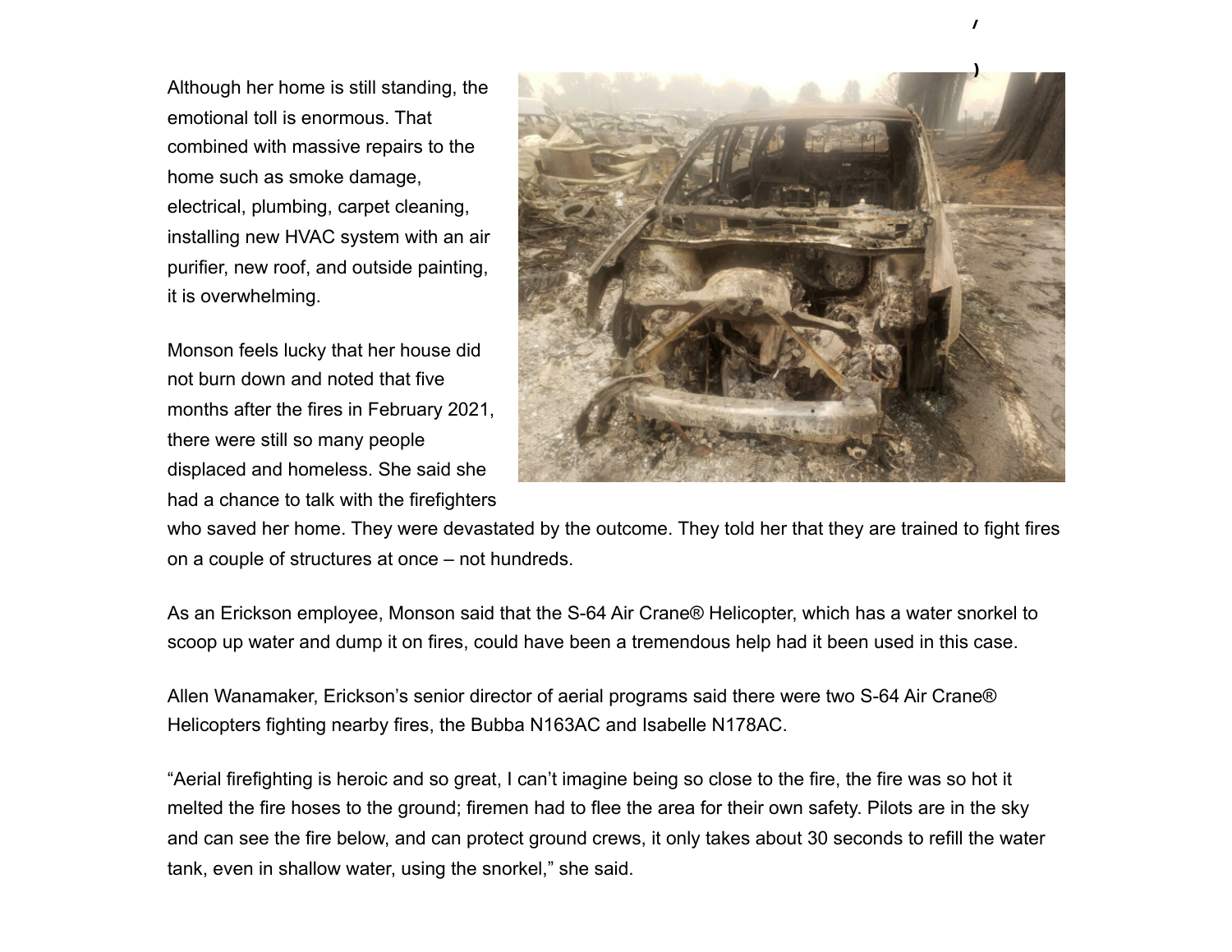Although her home is still standing, the emotional toll is enormous. That combined with massive repairs to the home such as smoke damage, electrical, plumbing, carpet cleaning, installing new HVAC system with an air purifier, new roof, and outside painting, it is overwhelming.

Monson feels lucky that her house did not burn down and noted that five months after the fires in February 2021, there were still so many people displaced and homeless. She said she had a chance to talk with the firefighters



**/**

who saved her home. They were devastated by the outcome. They told her that they are trained to fight fires on a couple of structures at once – not hundreds.

As an Erickson employee, Monson said that the S-64 Air Crane® Helicopter, which has a water snorkel to scoop up water and dump it on fires, could have been a tremendous help had it been used in this case.

Allen Wanamaker, Erickson's senior director of aerial programs said there were two S-64 Air Crane® Helicopters fighting nearby fires, the Bubba N163AC and Isabelle N178AC.

"Aerial firefighting is heroic and so great, I can't imagine being so close to the fire, the fire was so hot it melted the fire hoses to the ground; firemen had to flee the area for their own safety. Pilots are in the sky and can see the fire below, and can protect ground crews, it only takes about 30 seconds to refill the water tank, even in shallow water, using the snorkel," she said.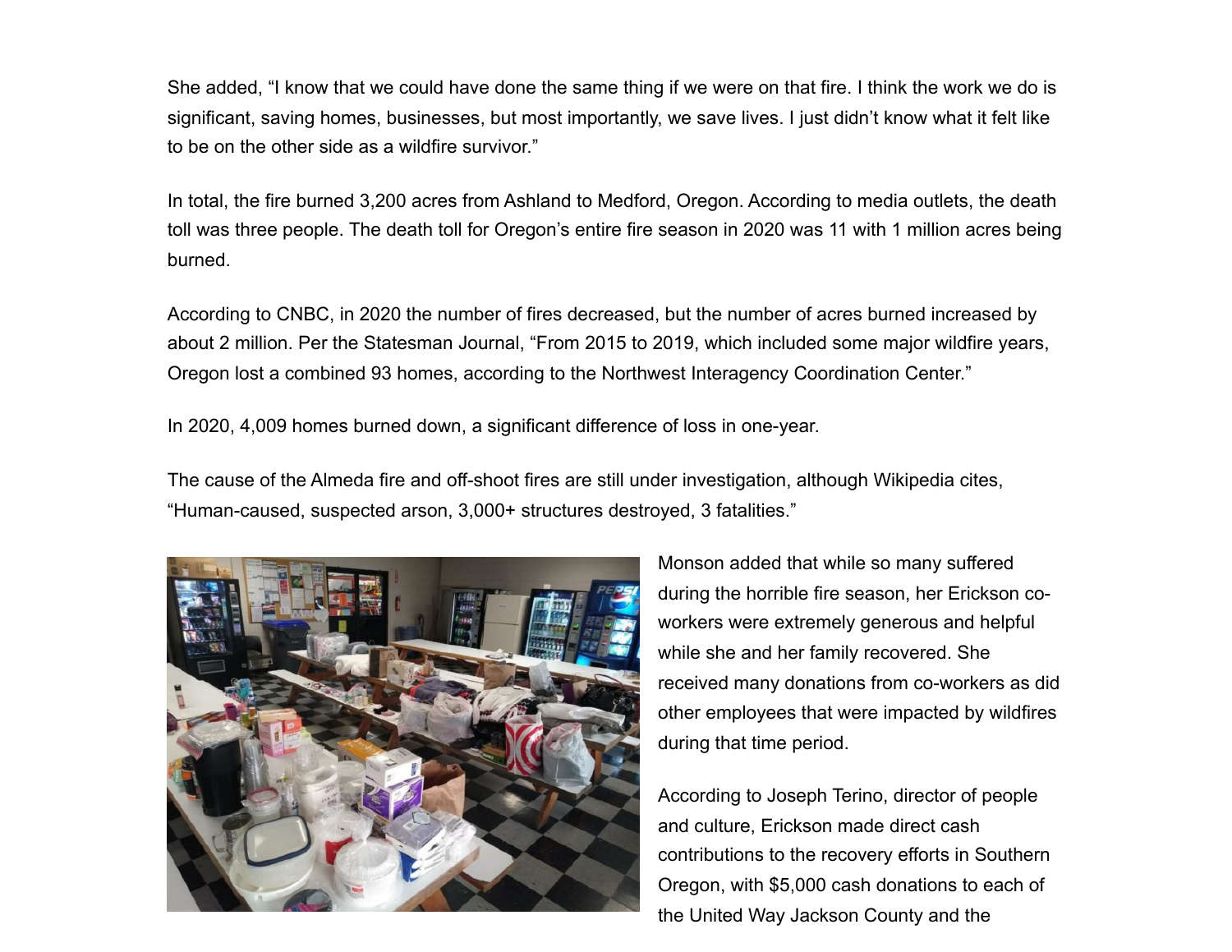She added, "I know that we could have done the same thing if we were on that fire. I think the work we do is significant, saving homes, businesses, but most importantly, we save lives. I just didn't know what it felt like to be on the other side as a wildfire survivor."

In total, the fire burned 3,200 acres from Ashland to Medford, Oregon. According to media outlets, the death toll was three people. The death toll for Oregon's entire fire season in 2020 was 11 with 1 million acres being burned.

According to CNBC, in 2020 the number of fires decreased, but the number of acres burned increased by about 2 million. Per the Statesman Journal, "From 2015 to 2019, which included some major wildfire years, Oregon lost a combined 93 homes, according to the Northwest Interagency Coordination Center."

In 2020, 4,009 homes burned down, a significant difference of loss in one-year.

The cause of the Almeda fire and off-shoot fires are still under investigation, although Wikipedia cites, "Human-caused, suspected arson, 3,000+ structures destroyed, 3 fatalities."



Monson added that while so many suffered during the horrible fire season, her Erickson coworkers were extremely generous and helpful while she and her family recovered. She received many donations from co-workers as did other employees that were impacted by wildfires during that time period.

According to Joseph Terino, director of people and culture, Erickson made direct cash contributions to the recovery efforts in Southern Oregon, with \$5,000 cash donations to each of the United Way Jackson County and the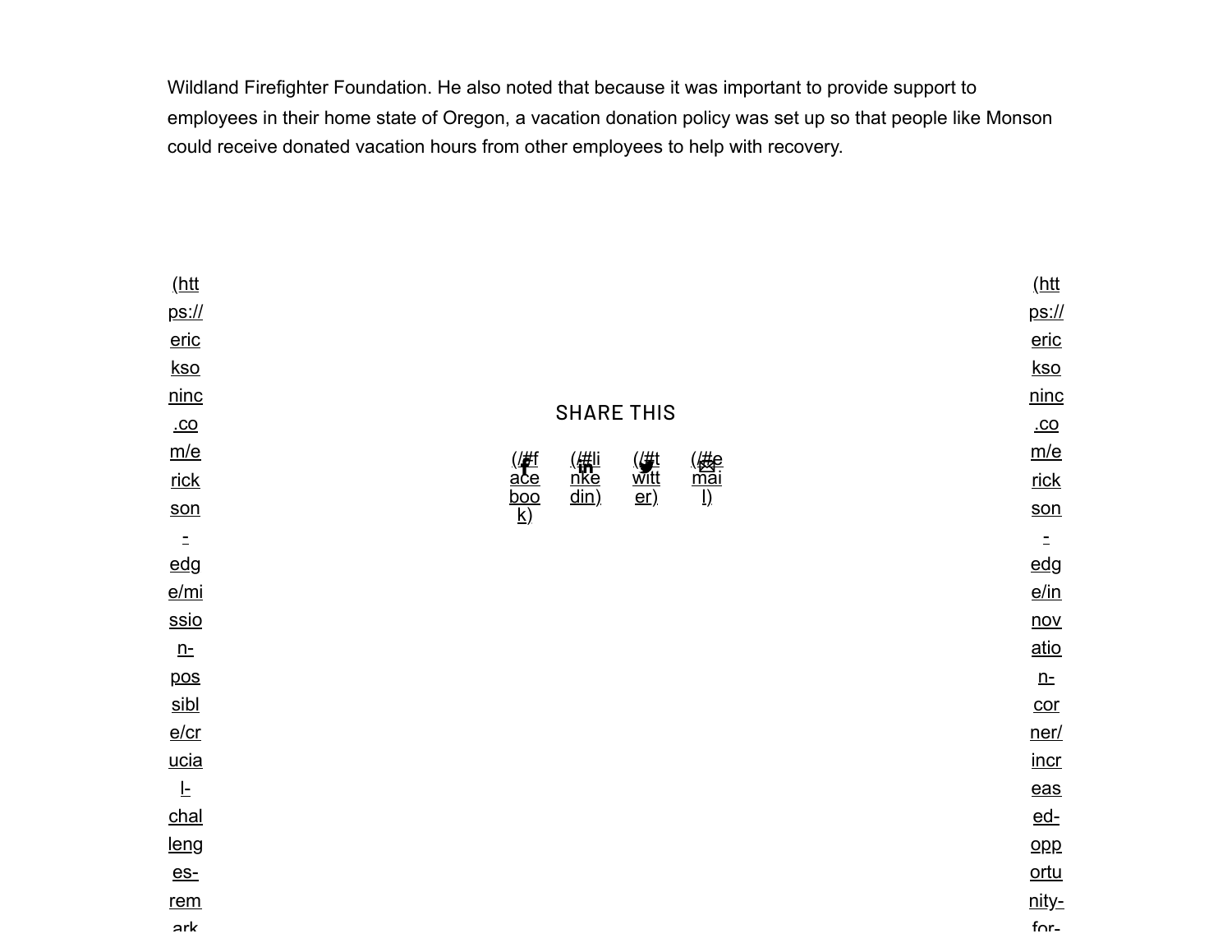Wildland Firefighter Foundation. He also noted that because it was important to provide support to employees in their home state of Oregon, a vacation donation policy was set up so that people like Monson could receive donated vacation hours from other employees to help with recovery.

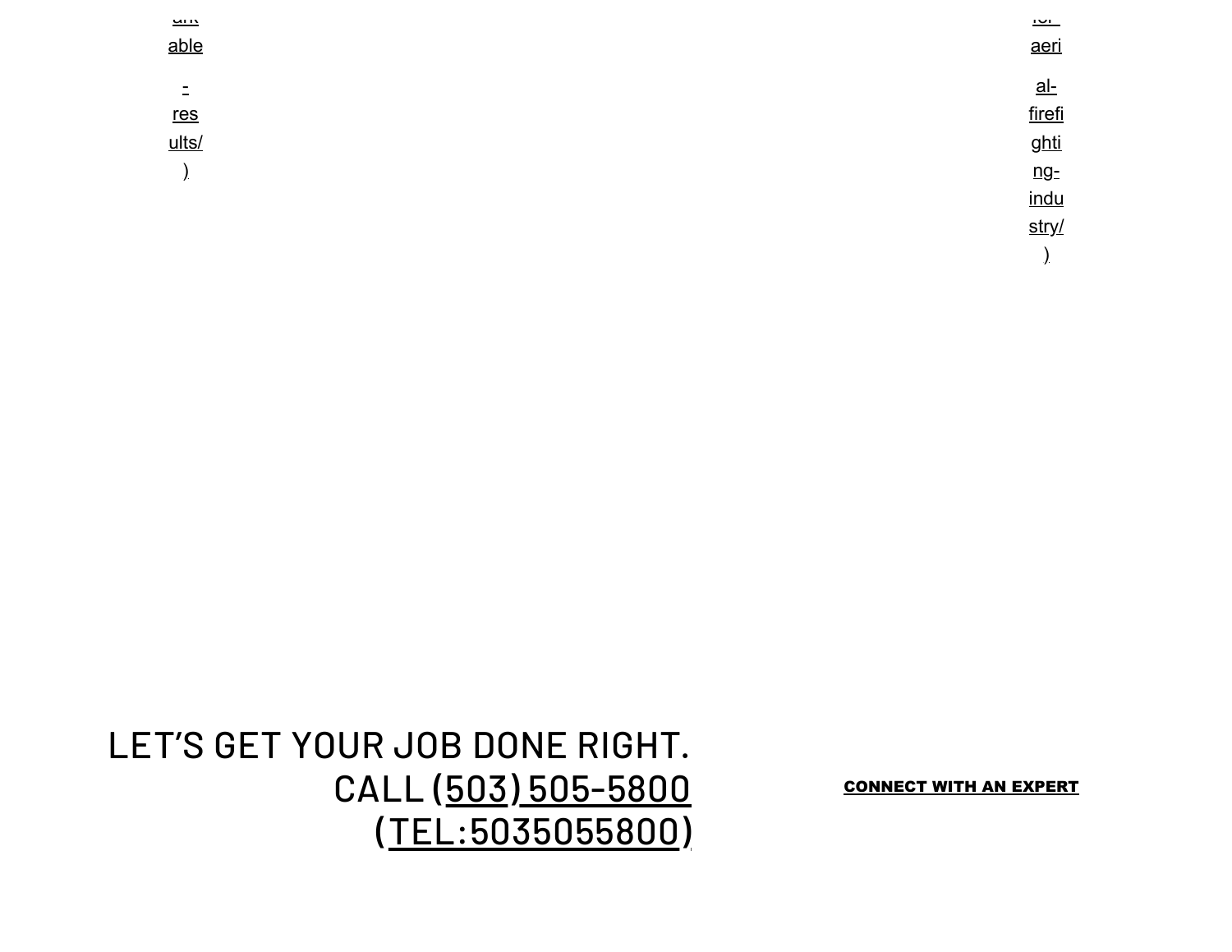| $\frac{1}{2}$<br>able | <u>ישו</u><br>aeri |
|-----------------------|--------------------|
| Ξ                     | <u>al-</u>         |
| <u>res</u>            | firefi             |
| ults/                 | ghti               |
| $\overline{ }$        | ng <sub>z</sub>    |
|                       | indu               |
|                       | stry/              |
|                       |                    |

## LET'S GET YOUR JOB DONE RIGHT. CALL (503) 505-5800 (TEL:5035055800)

**CONNECT WITH AN EXPERT**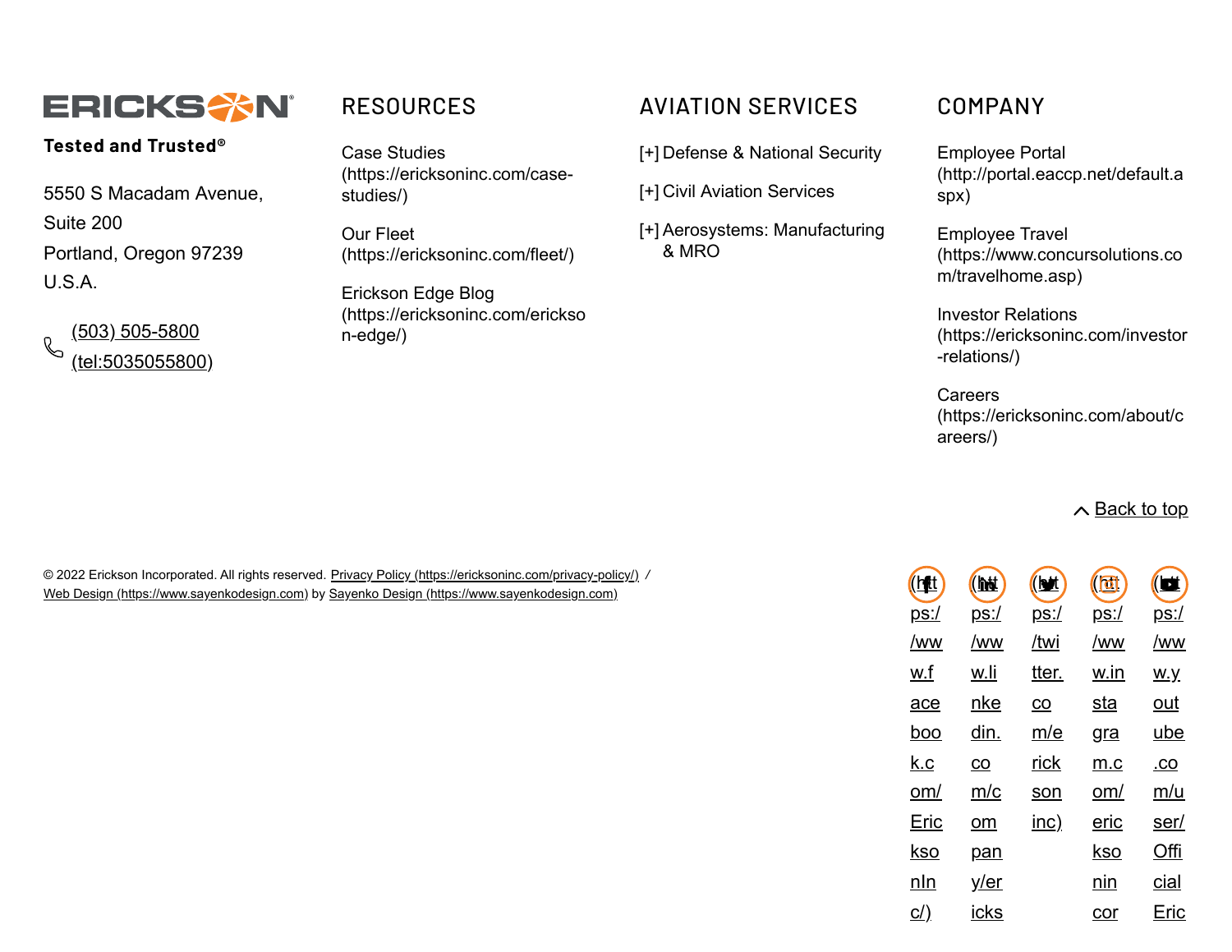

## **Tested and Trusted®**

5550 S Macadam Avenue, Suite 200 Portland, Oregon 97239  $U.S.A$ 

(503) 505-5800  $\mathbb{R}$ [\(tel:5035055800\)](tel:5035055800)

Case Studies [\(https://ericksoninc.com/case](https://ericksoninc.com/case-studies/)studies/)

Our Fleet [\(https://ericksoninc.com/fleet/\)](https://ericksoninc.com/fleet/)

Erickson Edge Blog [\(https://ericksoninc.com/erickso](https://ericksoninc.com/erickson-edge/) n-edge/)

## RESOURCES AVIATION SERVICES COMPANY

[+] Defense & National Security

[+] Civil Aviation Services

Aerosystems: Manufacturing [+] & MRO

Employee Portal [\(http://portal.eaccp.net/default.a](http://portal.eaccp.net/default.aspx) spx)

Employee Travel [\(https://www.concursolutions.co](https://www.concursolutions.com/travelhome.asp) m/travelhome.asp)

Investor Relations [\(https://ericksoninc.com/investor](https://ericksoninc.com/investor-relations/) -relations/)

**Careers** [\(https://ericksoninc.com/about/c](https://ericksoninc.com/about/careers/) areers/)

### $\wedge$  [Back to top](#page-0-0)

© 2022 Erickson Incorporated. All rights reserved. [Privacy Policy \(https://ericksoninc.com/privacy-policy/\)](https://ericksoninc.com/privacy-policy/) */* [Web Design \(https://www.sayenkodesign.com\)](https://www.sayenkodesign.com/) by [Sayenko Design \(https://www.sayenkodesign.com\)](https://www.sayenkodesign.com/)

| <u>(htt</u> | (htt            | (btt        | $\overline{\textbf{d}}$ | $(\blacksquare)$ |
|-------------|-----------------|-------------|-------------------------|------------------|
| <u>ps:/</u> | <u>ps:/</u>     | <u>ps:/</u> | <u>ps:/</u>             | <u>ps:/</u>      |
| /ww         | /ww             | /twi        | /ww                     | /ww              |
| w.f         | w.li            | tter.       | w.in                    | <u>w.y</u>       |
| ace         | nke             | CO          | sta                     | out              |
| boo         | din.            | <u>m/e</u>  | gra                     | ube              |
| <u>k.c</u>  | $\overline{co}$ | rick        | <u>m.c</u>              | <u>.co</u>       |
| om/         | m/c             | <u>son</u>  | om/                     | m/u              |
| Eric        | om              | <u>inc)</u> | eric                    | ser/             |
| kso         | <u>pan</u>      |             | kso                     | Offi             |
| nln         | <u>y/er</u>     |             | nin                     | cial             |
| <u>c/)</u>  | icks            |             | cor                     | Eric             |